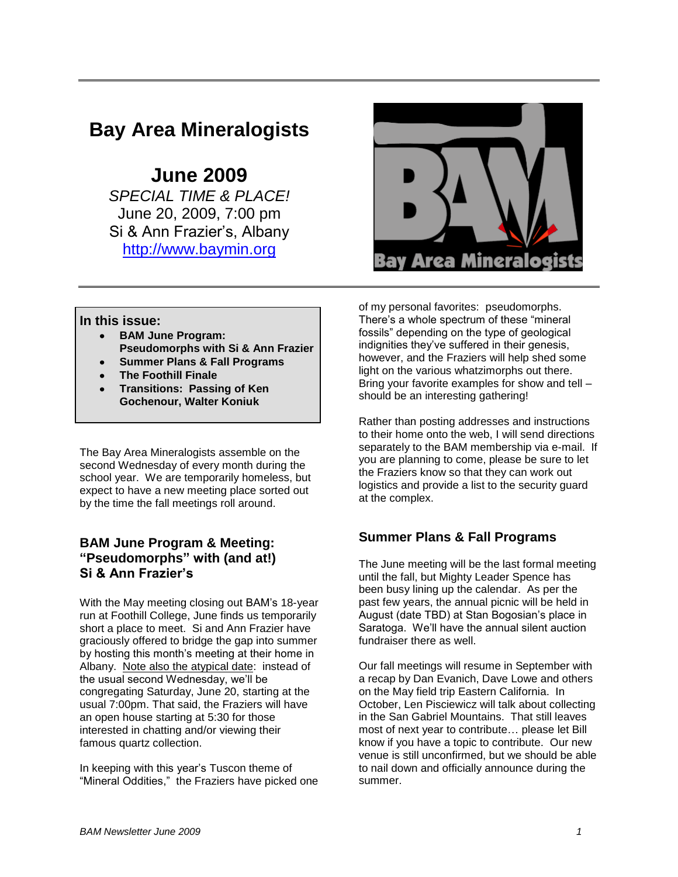## **Bay Area Mineralogists**

# **June 2009**

*SPECIAL TIME & PLACE!* June 20, 2009, 7:00 pm Si & Ann Frazier"s, Albany [http://www.baymin.org](http://www.baymin.org/)



#### **In this issue:**

- **BAM June Program: Pseudomorphs with Si & Ann Frazier**
- **Summer Plans & Fall Programs**
- **The Foothill Finale**
- **Transitions: Passing of Ken Gochenour, Walter Koniuk**

The Bay Area Mineralogists assemble on the second Wednesday of every month during the school year. We are temporarily homeless, but expect to have a new meeting place sorted out by the time the fall meetings roll around.

### **BAM June Program & Meeting: "Pseudomorphs" with (and at!) Si & Ann Frazier's**

With the May meeting closing out BAM"s 18-year run at Foothill College, June finds us temporarily short a place to meet. Si and Ann Frazier have graciously offered to bridge the gap into summer by hosting this month"s meeting at their home in Albany. Note also the atypical date: instead of the usual second Wednesday, we"ll be congregating Saturday, June 20, starting at the usual 7:00pm. That said, the Fraziers will have an open house starting at 5:30 for those interested in chatting and/or viewing their famous quartz collection.

In keeping with this year"s Tuscon theme of "Mineral Oddities," the Fraziers have picked one of my personal favorites: pseudomorphs. There"s a whole spectrum of these "mineral fossils" depending on the type of geological indignities they"ve suffered in their genesis, however, and the Fraziers will help shed some light on the various whatzimorphs out there. Bring your favorite examples for show and tell – should be an interesting gathering!

Rather than posting addresses and instructions to their home onto the web, I will send directions separately to the BAM membership via e-mail. If you are planning to come, please be sure to let the Fraziers know so that they can work out logistics and provide a list to the security guard at the complex.

### **Summer Plans & Fall Programs**

The June meeting will be the last formal meeting until the fall, but Mighty Leader Spence has been busy lining up the calendar. As per the past few years, the annual picnic will be held in August (date TBD) at Stan Bogosian"s place in Saratoga. We"ll have the annual silent auction fundraiser there as well.

Our fall meetings will resume in September with a recap by Dan Evanich, Dave Lowe and others on the May field trip Eastern California. In October, Len Pisciewicz will talk about collecting in the San Gabriel Mountains. That still leaves most of next year to contribute… please let Bill know if you have a topic to contribute. Our new venue is still unconfirmed, but we should be able to nail down and officially announce during the summer.